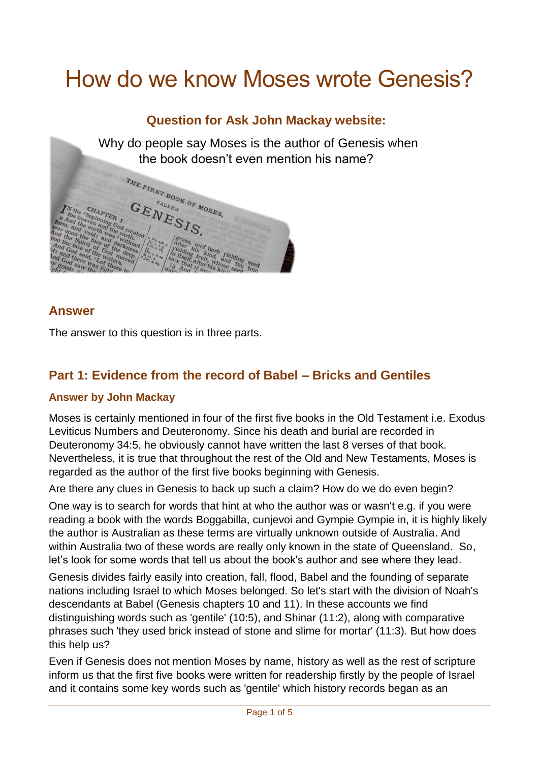# How do we know Moses wrote Genesis?

## **Question for Ask John Mackay website:**

Why do people say Moses is the author of Genesis when the book doesn't even mention his name?



#### **Answer**

The answer to this question is in three parts.

## **Part 1: Evidence from the record of Babel – Bricks and Gentiles**

#### **Answer by John Mackay**

Moses is certainly mentioned in four of the first five books in the Old Testament i.e. Exodus Leviticus Numbers and Deuteronomy. Since his death and burial are recorded in Deuteronomy 34:5, he obviously cannot have written the last 8 verses of that book. Nevertheless, it is true that throughout the rest of the Old and New Testaments, Moses is regarded as the author of the first five books beginning with Genesis.

Are there any clues in Genesis to back up such a claim? How do we do even begin?

One way is to search for words that hint at who the author was or wasn't e.g. if you were reading a book with the words Boggabilla, cunjevoi and Gympie Gympie in, it is highly likely the author is Australian as these terms are virtually unknown outside of Australia. And within Australia two of these words are really only known in the state of Queensland. So, let's look for some words that tell us about the book's author and see where they lead.

Genesis divides fairly easily into creation, fall, flood, Babel and the founding of separate nations including Israel to which Moses belonged. So let's start with the division of Noah's descendants at Babel (Genesis chapters 10 and 11). In these accounts we find distinguishing words such as 'gentile' (10:5), and Shinar (11:2), along with comparative phrases such 'they used brick instead of stone and slime for mortar' (11:3). But how does this help us?

Even if Genesis does not mention Moses by name, history as well as the rest of scripture inform us that the first five books were written for readership firstly by the people of Israel and it contains some key words such as 'gentile' which history records began as an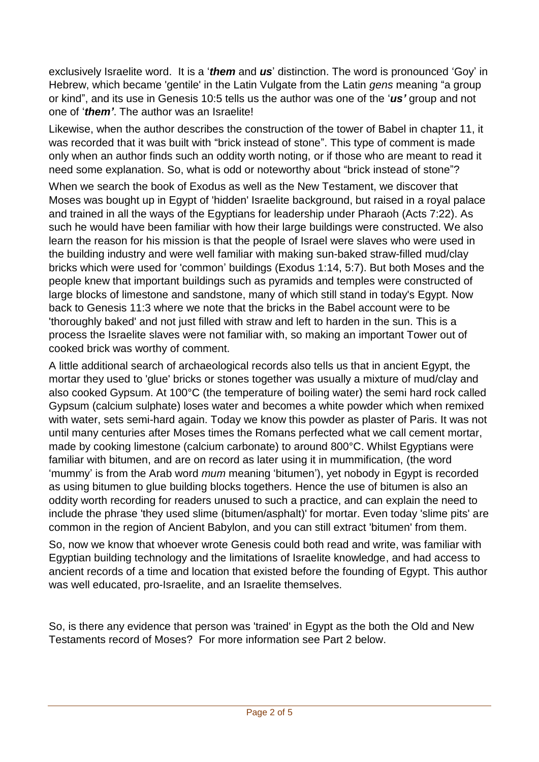exclusively Israelite word. It is a '*them* and *us*' distinction. The word is pronounced 'Goy' in Hebrew, which became 'gentile' in the Latin Vulgate from the Latin *gens* meaning "a group or kind", and its use in Genesis 10:5 tells us the author was one of the '*us'* group and not one of '*them'*. The author was an Israelite!

Likewise, when the author describes the construction of the tower of Babel in chapter 11, it was recorded that it was built with "brick instead of stone". This type of comment is made only when an author finds such an oddity worth noting, or if those who are meant to read it need some explanation. So, what is odd or noteworthy about "brick instead of stone"?

When we search the book of Exodus as well as the New Testament, we discover that Moses was bought up in Egypt of 'hidden' Israelite background, but raised in a royal palace and trained in all the ways of the Egyptians for leadership under Pharaoh (Acts 7:22). As such he would have been familiar with how their large buildings were constructed. We also learn the reason for his mission is that the people of Israel were slaves who were used in the building industry and were well familiar with making sun-baked straw-filled mud/clay bricks which were used for 'common' buildings (Exodus 1:14, 5:7). But both Moses and the people knew that important buildings such as pyramids and temples were constructed of large blocks of limestone and sandstone, many of which still stand in today's Egypt. Now back to Genesis 11:3 where we note that the bricks in the Babel account were to be 'thoroughly baked' and not just filled with straw and left to harden in the sun. This is a process the Israelite slaves were not familiar with, so making an important Tower out of cooked brick was worthy of comment.

A little additional search of archaeological records also tells us that in ancient Egypt, the mortar they used to 'glue' bricks or stones together was usually a mixture of mud/clay and also cooked Gypsum. At 100°C (the temperature of boiling water) the semi hard rock called Gypsum (calcium sulphate) loses water and becomes a white powder which when remixed with water, sets semi-hard again. Today we know this powder as plaster of Paris. It was not until many centuries after Moses times the Romans perfected what we call cement mortar, made by cooking limestone (calcium carbonate) to around 800°C. Whilst Egyptians were familiar with bitumen, and are on record as later using it in mummification, (the word 'mummy' is from the Arab word *mum* meaning 'bitumen'), yet nobody in Egypt is recorded as using bitumen to glue building blocks togethers. Hence the use of bitumen is also an oddity worth recording for readers unused to such a practice, and can explain the need to include the phrase 'they used slime (bitumen/asphalt)' for mortar. Even today 'slime pits' are common in the region of Ancient Babylon, and you can still extract 'bitumen' from them.

So, now we know that whoever wrote Genesis could both read and write, was familiar with Egyptian building technology and the limitations of Israelite knowledge, and had access to ancient records of a time and location that existed before the founding of Egypt. This author was well educated, pro-Israelite, and an Israelite themselves.

So, is there any evidence that person was 'trained' in Egypt as the both the Old and New Testaments record of Moses? For more information see Part 2 below.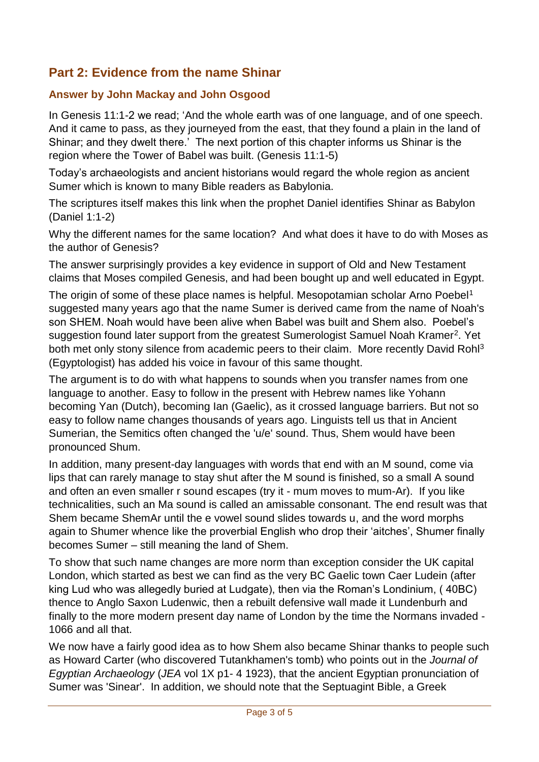## **Part 2: Evidence from the name Shinar**

### **Answer by John Mackay and John Osgood**

In Genesis 11:1-2 we read; 'And the whole earth was of one language, and of one speech. And it came to pass, as they journeyed from the east, that they found a plain in the land of Shinar; and they dwelt there.' The next portion of this chapter informs us Shinar is the region where the Tower of Babel was built. (Genesis 11:1-5)

Today's archaeologists and ancient historians would regard the whole region as ancient Sumer which is known to many Bible readers as Babylonia.

The scriptures itself makes this link when the prophet Daniel identifies Shinar as Babylon (Daniel 1:1-2)

Why the different names for the same location? And what does it have to do with Moses as the author of Genesis?

The answer surprisingly provides a key evidence in support of Old and New Testament claims that Moses compiled Genesis, and had been bought up and well educated in Egypt.

The origin of some of these place names is helpful. Mesopotamian scholar Arno Poebel<sup>1</sup> suggested many years ago that the name Sumer is derived came from the name of Noah's son SHEM. Noah would have been alive when Babel was built and Shem also. Poebel's suggestion found later support from the greatest Sumerologist Samuel Noah Kramer<sup>2</sup>. Yet both met only stony silence from academic peers to their claim. More recently David Rohl<sup>3</sup> (Egyptologist) has added his voice in favour of this same thought.

The argument is to do with what happens to sounds when you transfer names from one language to another. Easy to follow in the present with Hebrew names like Yohann becoming Yan (Dutch), becoming Ian (Gaelic), as it crossed language barriers. But not so easy to follow name changes thousands of years ago. Linguists tell us that in Ancient Sumerian, the Semitics often changed the 'u/e' sound. Thus, Shem would have been pronounced Shum.

In addition, many present-day languages with words that end with an M sound, come via lips that can rarely manage to stay shut after the M sound is finished, so a small A sound and often an even smaller r sound escapes (try it - mum moves to mum-Ar). If you like technicalities, such an Ma sound is called an amissable consonant. The end result was that Shem became ShemAr until the e vowel sound slides towards u, and the word morphs again to Shumer whence like the proverbial English who drop their 'aitches', Shumer finally becomes Sumer – still meaning the land of Shem.

To show that such name changes are more norm than exception consider the UK capital London, which started as best we can find as the very BC Gaelic town Caer Ludein (after king Lud who was allegedly buried at Ludgate), then via the Roman's Londinium, ( 40BC) thence to Anglo Saxon Ludenwic, then a rebuilt defensive wall made it Lundenburh and finally to the more modern present day name of London by the time the Normans invaded - 1066 and all that.

We now have a fairly good idea as to how Shem also became Shinar thanks to people such as Howard Carter (who discovered Tutankhamen's tomb) who points out in the *Journal of Egyptian Archaeology* (*JEA* vol 1X p1- 4 1923), that the ancient Egyptian pronunciation of Sumer was 'Sinear'. In addition, we should note that the Septuagint Bible, a Greek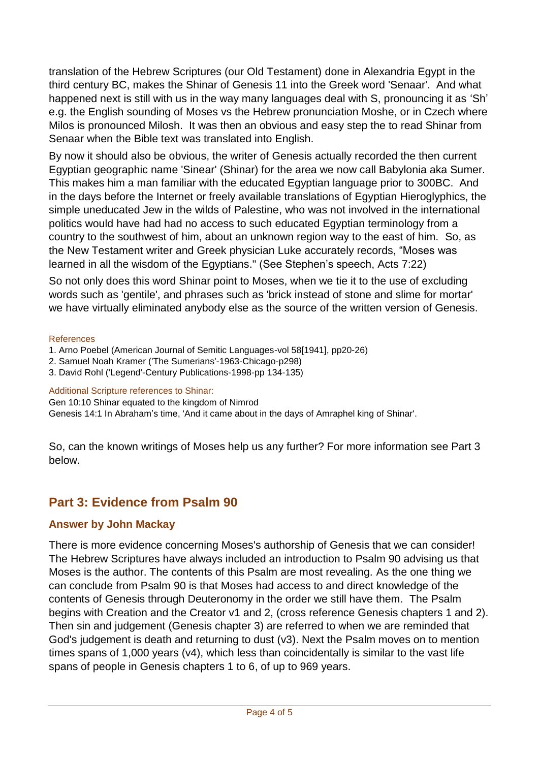translation of the Hebrew Scriptures (our Old Testament) done in Alexandria Egypt in the third century BC, makes the Shinar of Genesis 11 into the Greek word 'Senaar'. And what happened next is still with us in the way many languages deal with S, pronouncing it as 'Sh' e.g. the English sounding of Moses vs the Hebrew pronunciation Moshe, or in Czech where Milos is pronounced Milosh. It was then an obvious and easy step the to read Shinar from Senaar when the Bible text was translated into English.

By now it should also be obvious, the writer of Genesis actually recorded the then current Egyptian geographic name 'Sinear' (Shinar) for the area we now call Babylonia aka Sumer. This makes him a man familiar with the educated Egyptian language prior to 300BC. And in the days before the Internet or freely available translations of Egyptian Hieroglyphics, the simple uneducated Jew in the wilds of Palestine, who was not involved in the international politics would have had had no access to such educated Egyptian terminology from a country to the southwest of him, about an unknown region way to the east of him. So, as the New Testament writer and Greek physician Luke accurately records, "Moses was learned in all the wisdom of the Egyptians." (See Stephen's speech, Acts 7:22)

So not only does this word Shinar point to Moses, when we tie it to the use of excluding words such as 'gentile', and phrases such as 'brick instead of stone and slime for mortar' we have virtually eliminated anybody else as the source of the written version of Genesis.

#### **References**

- 1. Arno Poebel (American Journal of Semitic Languages-vol 58[1941], pp20-26)
- 2. Samuel Noah Kramer ('The Sumerians'-1963-Chicago-p298)
- 3. David Rohl ('Legend'-Century Publications-1998-pp 134-135)

#### Additional Scripture references to Shinar:

Gen 10:10 Shinar equated to the kingdom of Nimrod

Genesis 14:1 In Abraham's time, 'And it came about in the days of Amraphel king of Shinar'.

So, can the known writings of Moses help us any further? For more information see Part 3 below.

## **Part 3: Evidence from Psalm 90**

### **Answer by John Mackay**

There is more evidence concerning Moses's authorship of Genesis that we can consider! The Hebrew Scriptures have always included an introduction to Psalm 90 advising us that Moses is the author. The contents of this Psalm are most revealing. As the one thing we can conclude from Psalm 90 is that Moses had access to and direct knowledge of the contents of Genesis through Deuteronomy in the order we still have them. The Psalm begins with Creation and the Creator v1 and 2, (cross reference Genesis chapters 1 and 2). Then sin and judgement (Genesis chapter 3) are referred to when we are reminded that God's judgement is death and returning to dust (v3). Next the Psalm moves on to mention times spans of 1,000 years (v4), which less than coincidentally is similar to the vast life spans of people in Genesis chapters 1 to 6, of up to 969 years.